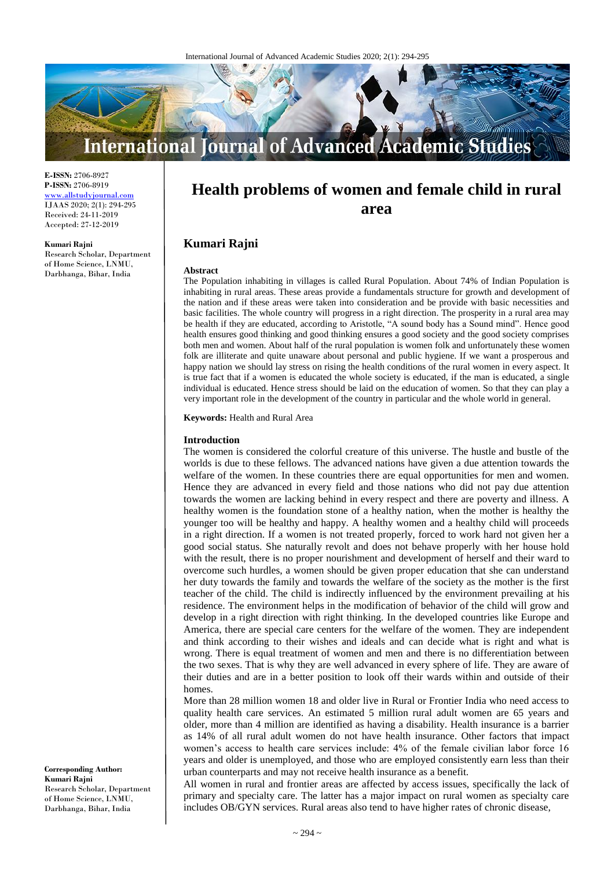

**E-ISSN:** 2706-8927 **P-ISSN:** 2706-8919 <www.allstudyjournal.com> IJAAS 2020; 2(1): 294-295 Received: 24-11-2019 Accepted: 27-12-2019

#### **Kumari Rajni**

Research Scholar, Department of Home Science, LNMU, Darbhanga, Bihar, India

# **Health problems of women and female child in rural area**

## **Kumari Rajni**

#### **Abstract**

The Population inhabiting in villages is called Rural Population. About 74% of Indian Population is inhabiting in rural areas. These areas provide a fundamentals structure for growth and development of the nation and if these areas were taken into consideration and be provide with basic necessities and basic facilities. The whole country will progress in a right direction. The prosperity in a rural area may be health if they are educated, according to Aristotle, "A sound body has a Sound mind". Hence good health ensures good thinking and good thinking ensures a good society and the good society comprises both men and women. About half of the rural population is women folk and unfortunately these women folk are illiterate and quite unaware about personal and public hygiene. If we want a prosperous and happy nation we should lay stress on rising the health conditions of the rural women in every aspect. It is true fact that if a women is educated the whole society is educated, if the man is educated, a single individual is educated. Hence stress should be laid on the education of women. So that they can play a very important role in the development of the country in particular and the whole world in general.

**Keywords:** Health and Rural Area

#### **Introduction**

The women is considered the colorful creature of this universe. The hustle and bustle of the worlds is due to these fellows. The advanced nations have given a due attention towards the welfare of the women. In these countries there are equal opportunities for men and women. Hence they are advanced in every field and those nations who did not pay due attention towards the women are lacking behind in every respect and there are poverty and illness. A healthy women is the foundation stone of a healthy nation, when the mother is healthy the younger too will be healthy and happy. A healthy women and a healthy child will proceeds in a right direction. If a women is not treated properly, forced to work hard not given her a good social status. She naturally revolt and does not behave properly with her house hold with the result, there is no proper nourishment and development of herself and their ward to overcome such hurdles, a women should be given proper education that she can understand her duty towards the family and towards the welfare of the society as the mother is the first teacher of the child. The child is indirectly influenced by the environment prevailing at his residence. The environment helps in the modification of behavior of the child will grow and develop in a right direction with right thinking. In the developed countries like Europe and America, there are special care centers for the welfare of the women. They are independent and think according to their wishes and ideals and can decide what is right and what is wrong. There is equal treatment of women and men and there is no differentiation between the two sexes. That is why they are well advanced in every sphere of life. They are aware of their duties and are in a better position to look off their wards within and outside of their homes.

More than 28 million women 18 and older live in Rural or Frontier India who need access to quality health care services. An estimated 5 million rural adult women are 65 years and older, more than 4 million are identified as having a disability. Health insurance is a barrier as 14% of all rural adult women do not have health insurance. Other factors that impact women's access to health care services include: 4% of the female civilian labor force 16 years and older is unemployed, and those who are employed consistently earn less than their urban counterparts and may not receive health insurance as a benefit.

All women in rural and frontier areas are affected by access issues, specifically the lack of primary and specialty care. The latter has a major impact on rural women as specialty care includes OB/GYN services. Rural areas also tend to have higher rates of chronic disease,

**Corresponding Author: Kumari Rajni** Research Scholar, Department of Home Science, LNMU, Darbhanga, Bihar, India